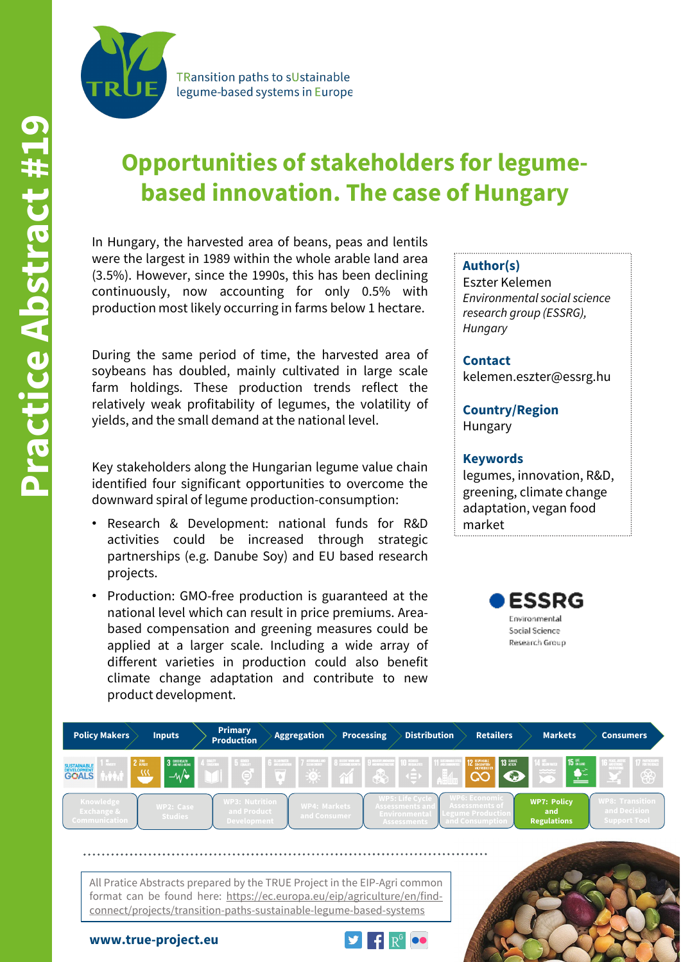**TRansition paths to sUstainable** legume-based systems in Europe

# **Opportunities of stakeholders for legumebased innovation. The case of Hungary**

In Hungary, the harvested area of beans, peas and lentils were the largest in 1989 within the whole arable land area (3.5%). However, since the 1990s, this has been declining continuously, now accounting for only 0.5% with production most likely occurring in farms below 1 hectare.

During the same period of time, the harvested area of soybeans has doubled, mainly cultivated in large scale farm holdings. These production trends reflect the relatively weak profitability of legumes, the volatility of yields, and the small demand at the national level.

Key stakeholders along the Hungarian legume value chain identified four significant opportunities to overcome the downward spiral of legume production-consumption:

- Research & Development: national funds for R&D activities could be increased through strategic partnerships (e.g. Danube Soy) and EU based research projects.
- Production: GMO-free production is guaranteed at the national level which can result in price premiums. Areabased compensation and greening measures could be applied at a larger scale. Including a wide array of different varieties in production could also benefit climate change adaptation and contribute to new product development.

#### **Author(s)**

Eszter Kelemen *Environmental social science research group (ESSRG), Hungary*

**Contact**

kelemen.eszter@essrg.hu

**Country/Region** Hungary

### **Keywords**

legumes, innovation, R&D, greening, climate change adaptation, vegan food market





**www.true-project.eu**